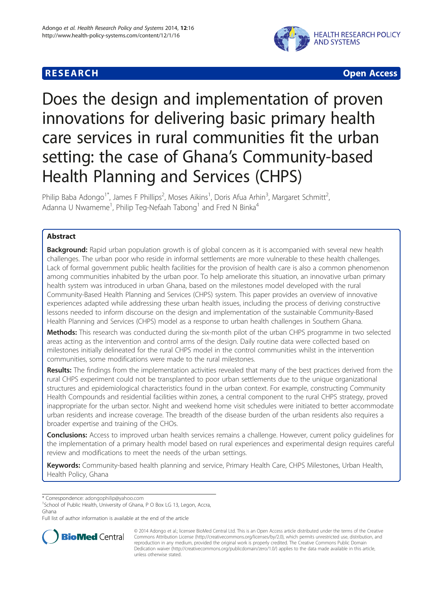## **RESEARCH CHEAR CHEAR CHEAR CHEAR CHEAR CHEAR CHEAR CHEAR CHEAR CHEAR CHEAR CHEAR CHEAR CHEAR CHEAR CHEAR CHEAR**



# Does the design and implementation of proven innovations for delivering basic primary health care services in rural communities fit the urban setting: the case of Ghana's Community-based Health Planning and Services (CHPS)

Philip Baba Adongo<sup>1\*</sup>, James F Phillips<sup>2</sup>, Moses Aikins<sup>1</sup>, Doris Afua Arhin<sup>3</sup>, Margaret Schmitt<sup>2</sup> , Adanna U Nwameme<sup>1</sup>, Philip Teg-Nefaah Tabong<sup>1</sup> and Fred N Binka<sup>4</sup>

## Abstract

Background: Rapid urban population growth is of global concern as it is accompanied with several new health challenges. The urban poor who reside in informal settlements are more vulnerable to these health challenges. Lack of formal government public health facilities for the provision of health care is also a common phenomenon among communities inhabited by the urban poor. To help ameliorate this situation, an innovative urban primary health system was introduced in urban Ghana, based on the milestones model developed with the rural Community-Based Health Planning and Services (CHPS) system. This paper provides an overview of innovative experiences adapted while addressing these urban health issues, including the process of deriving constructive lessons needed to inform discourse on the design and implementation of the sustainable Community-Based Health Planning and Services (CHPS) model as a response to urban health challenges in Southern Ghana.

**Methods:** This research was conducted during the six-month pilot of the urban CHPS programme in two selected areas acting as the intervention and control arms of the design. Daily routine data were collected based on milestones initially delineated for the rural CHPS model in the control communities whilst in the intervention communities, some modifications were made to the rural milestones.

Results: The findings from the implementation activities revealed that many of the best practices derived from the rural CHPS experiment could not be transplanted to poor urban settlements due to the unique organizational structures and epidemiological characteristics found in the urban context. For example, constructing Community Health Compounds and residential facilities within zones, a central component to the rural CHPS strategy, proved inappropriate for the urban sector. Night and weekend home visit schedules were initiated to better accommodate urban residents and increase coverage. The breadth of the disease burden of the urban residents also requires a broader expertise and training of the CHOs.

Conclusions: Access to improved urban health services remains a challenge. However, current policy quidelines for the implementation of a primary health model based on rural experiences and experimental design requires careful review and modifications to meet the needs of the urban settings.

Keywords: Community-based health planning and service, Primary Health Care, CHPS Milestones, Urban Health, Health Policy, Ghana

\* Correspondence: [adongophilip@yahoo.com](mailto:adongophilip@yahoo.com) <sup>1</sup>

<sup>1</sup>School of Public Health, University of Ghana, P O Box LG 13, Legon, Accra, Ghana

Full list of author information is available at the end of the article



© 2014 Adongo et al.; licensee BioMed Central Ltd. This is an Open Access article distributed under the terms of the Creative Commons Attribution License [\(http://creativecommons.org/licenses/by/2.0\)](http://creativecommons.org/licenses/by/2.0), which permits unrestricted use, distribution, and reproduction in any medium, provided the original work is properly credited. The Creative Commons Public Domain Dedication waiver [\(http://creativecommons.org/publicdomain/zero/1.0/](http://creativecommons.org/publicdomain/zero/1.0/)) applies to the data made available in this article, unless otherwise stated.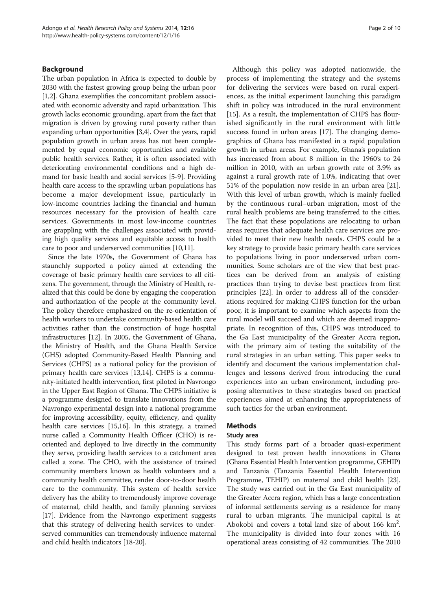## Background

The urban population in Africa is expected to double by 2030 with the fastest growing group being the urban poor [[1,2](#page-8-0)]. Ghana exemplifies the concomitant problem associated with economic adversity and rapid urbanization. This growth lacks economic grounding, apart from the fact that migration is driven by growing rural poverty rather than expanding urban opportunities [[3](#page-8-0),[4](#page-8-0)]. Over the years, rapid population growth in urban areas has not been complemented by equal economic opportunities and available public health services. Rather, it is often associated with deteriorating environmental conditions and a high demand for basic health and social services [\[5](#page-8-0)-[9](#page-9-0)]. Providing health care access to the sprawling urban populations has become a major development issue, particularly in low-income countries lacking the financial and human resources necessary for the provision of health care services. Governments in most low-income countries are grappling with the challenges associated with providing high quality services and equitable access to health care to poor and underserved communities [\[10,11\]](#page-9-0).

Since the late 1970s, the Government of Ghana has staunchly supported a policy aimed at extending the coverage of basic primary health care services to all citizens. The government, through the Ministry of Health, realized that this could be done by engaging the cooperation and authorization of the people at the community level. The policy therefore emphasized on the re-orientation of health workers to undertake community-based health care activities rather than the construction of huge hospital infrastructures [\[12\]](#page-9-0). In 2005, the Government of Ghana, the Ministry of Health, and the Ghana Health Service (GHS) adopted Community-Based Health Planning and Services (CHPS) as a national policy for the provision of primary health care services [\[13,14\]](#page-9-0). CHPS is a community-initiated health intervention, first piloted in Navrongo in the Upper East Region of Ghana. The CHPS initiative is a programme designed to translate innovations from the Navrongo experimental design into a national programme for improving accessibility, equity, efficiency, and quality health care services [\[15,16\]](#page-9-0). In this strategy, a trained nurse called a Community Health Officer (CHO) is reoriented and deployed to live directly in the community they serve, providing health services to a catchment area called a zone. The CHO, with the assistance of trained community members known as health volunteers and a community health committee, render door-to-door health care to the community. This system of health service delivery has the ability to tremendously improve coverage of maternal, child health, and family planning services [[17](#page-9-0)]. Evidence from the Navrongo experiment suggests that this strategy of delivering health services to underserved communities can tremendously influence maternal and child health indicators [[18](#page-9-0)-[20](#page-9-0)].

Although this policy was adopted nationwide, the process of implementing the strategy and the systems for delivering the services were based on rural experiences, as the initial experiment launching this paradigm shift in policy was introduced in the rural environment [[15\]](#page-9-0). As a result, the implementation of CHPS has flourished significantly in the rural environment with little success found in urban areas [[17\]](#page-9-0). The changing demographics of Ghana has manifested in a rapid population growth in urban areas. For example, Ghana's population has increased from about 8 million in the 1960's to 24 million in 2010, with an urban growth rate of 3.9% as against a rural growth rate of 1.0%, indicating that over 51% of the population now reside in an urban area [\[21](#page-9-0)]. With this level of urban growth, which is mainly fuelled by the continuous rural–urban migration, most of the rural health problems are being transferred to the cities. The fact that these populations are relocating to urban areas requires that adequate health care services are provided to meet their new health needs. CHPS could be a key strategy to provide basic primary health care services to populations living in poor underserved urban communities. Some scholars are of the view that best practices can be derived from an analysis of existing practices than trying to devise best practices from first principles [[22\]](#page-9-0). In order to address all of the considerations required for making CHPS function for the urban poor, it is important to examine which aspects from the rural model will succeed and which are deemed inappropriate. In recognition of this, CHPS was introduced to the Ga East municipality of the Greater Accra region, with the primary aim of testing the suitability of the rural strategies in an urban setting. This paper seeks to identify and document the various implementation challenges and lessons derived from introducing the rural experiences into an urban environment, including proposing alternatives to these strategies based on practical experiences aimed at enhancing the appropriateness of such tactics for the urban environment.

## Methods

## Study area

This study forms part of a broader quasi-experiment designed to test proven health innovations in Ghana (Ghana Essential Health Intervention programme, GEHIP) and Tanzania (Tanzania Essential Health Intervention Programme, TEHIP) on maternal and child health [[23](#page-9-0)]. The study was carried out in the Ga East municipality of the Greater Accra region, which has a large concentration of informal settlements serving as a residence for many rural to urban migrants. The municipal capital is at Abokobi and covers a total land size of about 166 km<sup>2</sup>. The municipality is divided into four zones with 16 operational areas consisting of 42 communities. The 2010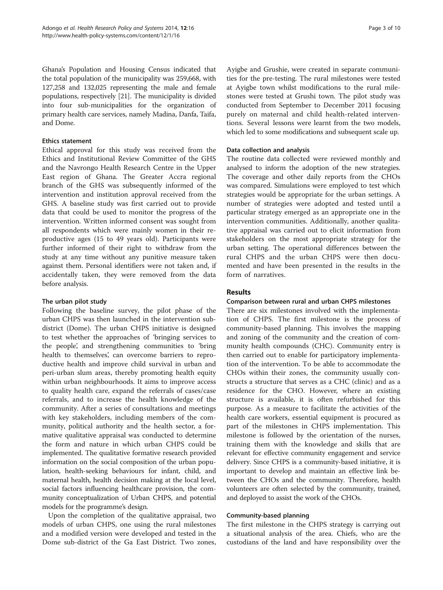Ghana's Population and Housing Census indicated that the total population of the municipality was 259,668, with 127,258 and 132,025 representing the male and female populations, respectively [\[21\]](#page-9-0). The municipality is divided into four sub-municipalities for the organization of primary health care services, namely Madina, Danfa, Taifa, and Dome.

#### Ethics statement

Ethical approval for this study was received from the Ethics and Institutional Review Committee of the GHS and the Navrongo Health Research Centre in the Upper East region of Ghana. The Greater Accra regional branch of the GHS was subsequently informed of the intervention and institution approval received from the GHS. A baseline study was first carried out to provide data that could be used to monitor the progress of the intervention. Written informed consent was sought from all respondents which were mainly women in their reproductive ages (15 to 49 years old). Participants were further informed of their right to withdraw from the study at any time without any punitive measure taken against them. Personal identifiers were not taken and, if accidentally taken, they were removed from the data before analysis.

## The urban pilot study

Following the baseline survey, the pilot phase of the urban CHPS was then launched in the intervention subdistrict (Dome). The urban CHPS initiative is designed to test whether the approaches of 'bringing services to the people', and strengthening communities to 'bring health to themselves', can overcome barriers to reproductive health and improve child survival in urban and peri-urban slum areas, thereby promoting health equity within urban neighbourhoods. It aims to improve access to quality health care, expand the referrals of cases/case referrals, and to increase the health knowledge of the community. After a series of consultations and meetings with key stakeholders, including members of the community, political authority and the health sector, a formative qualitative appraisal was conducted to determine the form and nature in which urban CHPS could be implemented. The qualitative formative research provided information on the social composition of the urban population, health-seeking behaviours for infant, child, and maternal health, health decision making at the local level, social factors influencing healthcare provision, the community conceptualization of Urban CHPS, and potential models for the programme's design.

Upon the completion of the qualitative appraisal, two models of urban CHPS, one using the rural milestones and a modified version were developed and tested in the Dome sub-district of the Ga East District. Two zones,

Ayigbe and Grushie, were created in separate communities for the pre-testing. The rural milestones were tested at Ayigbe town whilst modifications to the rural milestones were tested at Grushi town. The pilot study was conducted from September to December 2011 focusing purely on maternal and child health-related interventions. Several lessons were learnt from the two models, which led to some modifications and subsequent scale up.

#### Data collection and analysis

The routine data collected were reviewed monthly and analysed to inform the adoption of the new strategies. The coverage and other daily reports from the CHOs was compared. Simulations were employed to test which strategies would be appropriate for the urban settings. A number of strategies were adopted and tested until a particular strategy emerged as an appropriate one in the intervention communities. Additionally, another qualitative appraisal was carried out to elicit information from stakeholders on the most appropriate strategy for the urban setting. The operational differences between the rural CHPS and the urban CHPS were then documented and have been presented in the results in the form of narratives.

#### Results

#### Comparison between rural and urban CHPS milestones

There are six milestones involved with the implementation of CHPS. The first milestone is the process of community-based planning. This involves the mapping and zoning of the community and the creation of community health compounds (CHC). Community entry is then carried out to enable for participatory implementation of the intervention. To be able to accommodate the CHOs within their zones, the community usually constructs a structure that serves as a CHC (clinic) and as a residence for the CHO. However, where an existing structure is available, it is often refurbished for this purpose. As a measure to facilitate the activities of the health care workers, essential equipment is procured as part of the milestones in CHPS implementation. This milestone is followed by the orientation of the nurses, training them with the knowledge and skills that are relevant for effective community engagement and service delivery. Since CHPS is a community-based initiative, it is important to develop and maintain an effective link between the CHOs and the community. Therefore, health volunteers are often selected by the community, trained, and deployed to assist the work of the CHOs.

## Community-based planning

The first milestone in the CHPS strategy is carrying out a situational analysis of the area. Chiefs, who are the custodians of the land and have responsibility over the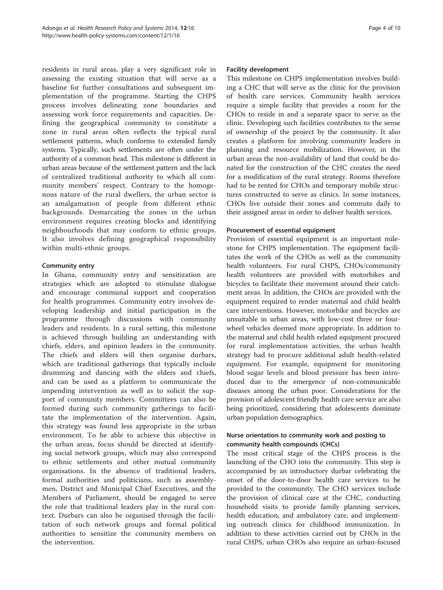residents in rural areas, play a very significant role in assessing the existing situation that will serve as a baseline for further consultations and subsequent implementation of the programme. Starting the CHPS process involves delineating zone boundaries and assessing work force requirements and capacities. Defining the geographical community to constitute a zone in rural areas often reflects the typical rural settlement patterns, which conforms to extended family systems. Typically, such settlements are often under the authority of a common head. This milestone is different in urban areas because of the settlement pattern and the lack of centralized traditional authority to which all community members' respect. Contrary to the homogenous nature of the rural dwellers, the urban sector is an amalgamation of people from different ethnic backgrounds. Demarcating the zones in the urban environment requires creating blocks and identifying neighbourhoods that may conform to ethnic groups. It also involves defining geographical responsibility within multi-ethnic groups.

## Community entry

In Ghana, community entry and sensitization are strategies which are adopted to stimulate dialogue and encourage communal support and cooperation for health programmes. Community entry involves developing leadership and initial participation in the programme through discussions with community leaders and residents. In a rural setting, this milestone is achieved through building an understanding with chiefs, elders, and opinion leaders in the community. The chiefs and elders will then organise durbars, which are traditional gatherings that typically include drumming and dancing with the elders and chiefs, and can be used as a platform to communicate the impending intervention as well as to solicit the support of community members. Committees can also be formed during such community gatherings to facilitate the implementation of the intervention. Again, this strategy was found less appropriate in the urban environment. To be able to achieve this objective in the urban areas, focus should be directed at identifying social network groups, which may also correspond to ethnic settlements and other mutual community organisations. In the absence of traditional leaders, formal authorities and politicians, such as assemblymen, District and Municipal Chief Executives, and the Members of Parliament, should be engaged to serve the role that traditional leaders play in the rural context. Durbars can also be organised through the facilitation of such network groups and formal political authorities to sensitize the community members on the intervention.

#### Facility development

This milestone on CHPS implementation involves building a CHC that will serve as the clinic for the provision of health care services. Community health services require a simple facility that provides a room for the CHOs to reside in and a separate space to serve as the clinic. Developing such facilities contributes to the sense of ownership of the project by the community. It also creates a platform for involving community leaders in planning and resource mobilization. However, in the urban areas the non-availability of land that could be donated for the construction of the CHC creates the need for a modification of the rural strategy. Rooms therefore had to be rented for CHOs and temporary mobile structures constructed to serve as clinics. In some instances, CHOs live outside their zones and commute daily to their assigned areas in order to deliver health services.

## Procurement of essential equipment

Provision of essential equipment is an important milestone for CHPS implementation. The equipment facilitates the work of the CHOs as well as the community health volunteers. For rural CHPS, CHOs/community health volunteers are provided with motorbikes and bicycles to facilitate their movement around their catchment areas. In addition, the CHOs are provided with the equipment required to render maternal and child health care interventions. However, motorbike and bicycles are unsuitable in urban areas, with low-cost three or fourwheel vehicles deemed more appropriate. In addition to the maternal and child health related equipment procured for rural implementation activities, the urban health strategy had to procure additional adult health-related equipment. For example, equipment for monitoring blood sugar levels and blood pressure has been introduced due to the emergence of non-communicable diseases among the urban poor. Considerations for the provision of adolescent friendly health care service are also being prioritized, considering that adolescents dominate urban population demographics.

## Nurse orientation to community work and posting to community health compounds (CHCs)

The most critical stage of the CHPS process is the launching of the CHO into the community. This step is accompanied by an introductory durbar celebrating the onset of the door-to-door health care services to be provided to the community. The CHO services include the provision of clinical care at the CHC, conducting household visits to provide family planning services, health education, and ambulatory care, and implementing outreach clinics for childhood immunization. In addition to these activities carried out by CHOs in the rural CHPS, urban CHOs also require an urban-focused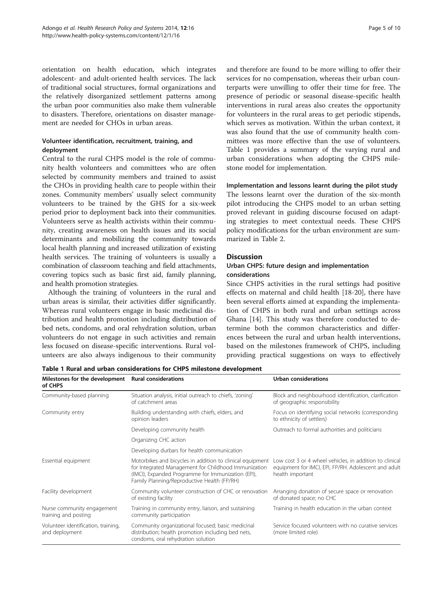orientation on health education, which integrates adolescent- and adult-oriented health services. The lack of traditional social structures, formal organizations and the relatively disorganized settlement patterns among the urban poor communities also make them vulnerable to disasters. Therefore, orientations on disaster management are needed for CHOs in urban areas.

## Volunteer identification, recruitment, training, and deployment

Central to the rural CHPS model is the role of community health volunteers and committees who are often selected by community members and trained to assist the CHOs in providing health care to people within their zones. Community members' usually select community volunteers to be trained by the GHS for a six-week period prior to deployment back into their communities. Volunteers serve as health activists within their community, creating awareness on health issues and its social determinants and mobilizing the community towards local health planning and increased utilization of existing health services. The training of volunteers is usually a combination of classroom teaching and field attachments, covering topics such as basic first aid, family planning, and health promotion strategies.

Although the training of volunteers in the rural and urban areas is similar, their activities differ significantly. Whereas rural volunteers engage in basic medicinal distribution and health promotion including distribution of bed nets, condoms, and oral rehydration solution, urban volunteers do not engage in such activities and remain less focused on disease-specific interventions. Rural volunteers are also always indigenous to their community

and therefore are found to be more willing to offer their services for no compensation, whereas their urban counterparts were unwilling to offer their time for free. The presence of periodic or seasonal disease-specific health interventions in rural areas also creates the opportunity for volunteers in the rural areas to get periodic stipends, which serves as motivation. Within the urban context, it was also found that the use of community health committees was more effective than the use of volunteers. Table 1 provides a summary of the varying rural and urban considerations when adopting the CHPS milestone model for implementation.

## Implementation and lessons learnt during the pilot study

The lessons learnt over the duration of the six-month pilot introducing the CHPS model to an urban setting proved relevant in guiding discourse focused on adapting strategies to meet contextual needs. These CHPS policy modifications for the urban environment are summarized in Table [2](#page-5-0).

## **Discussion**

#### Urban CHPS: future design and implementation considerations

Since CHPS activities in the rural settings had positive effects on maternal and child health [\[18-20](#page-9-0)], there have been several efforts aimed at expanding the implementation of CHPS in both rural and urban settings across Ghana [[14\]](#page-9-0). This study was therefore conducted to determine both the common characteristics and differences between the rural and urban health interventions, based on the milestones framework of CHPS, including providing practical suggestions on ways to effectively

Table 1 Rural and urban considerations for CHPS milestone development

| Milestones for the development<br>of CHPS             | <b>Rural considerations</b>                                                                                                                                                                                            | Urban considerations                                                                                                                |
|-------------------------------------------------------|------------------------------------------------------------------------------------------------------------------------------------------------------------------------------------------------------------------------|-------------------------------------------------------------------------------------------------------------------------------------|
| Community-based planning                              | Situation analysis, initial outreach to chiefs, 'zoning'<br>of catchment areas                                                                                                                                         | Block and neighbourhood identification, clarification<br>of geographic responsibility                                               |
| Community entry                                       | Building understanding with chiefs, elders, and<br>opinion leaders                                                                                                                                                     | Focus on identifying social networks (corresponding<br>to ethnicity of settlers)                                                    |
|                                                       | Developing community health                                                                                                                                                                                            | Outreach to formal authorities and politicians                                                                                      |
|                                                       | Organizing CHC action                                                                                                                                                                                                  |                                                                                                                                     |
|                                                       | Developing durbars for health communication                                                                                                                                                                            |                                                                                                                                     |
| Essential equipment                                   | Motorbikes and bicycles in addition to clinical equipment<br>for Integrated Management for Childhood Immunization<br>(IMCI), Expanded Programme for Immunization (EPI),<br>Family Planning/Reproductive Health (FP/RH) | Low cost 3 or 4 wheel vehicles, in addition to clinical<br>equipment for IMCI, EPI, FP/RH. Adolescent and adult<br>health important |
| Facility development                                  | Community volunteer construction of CHC or renovation<br>of existing facility                                                                                                                                          | Arranging donation of secure space or renovation<br>of donated space; no CHC                                                        |
| Nurse community engagement<br>training and posting    | Training in community entry, liaison, and sustaining<br>community participation                                                                                                                                        | Training in health education in the urban context                                                                                   |
| Volunteer identification, training,<br>and deployment | Community organizational focused; basic medicinal<br>distribution; health promotion including bed nets,<br>condoms, oral rehydration solution                                                                          | Service focused volunteers with no curative services<br>(more limited role)                                                         |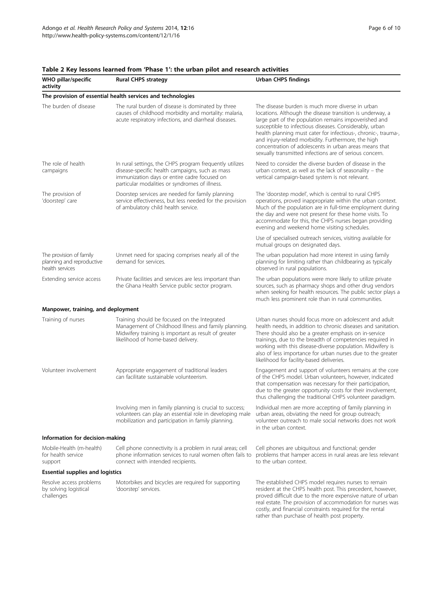| WHO pillar/specific<br>activity                                         | <b>Rural CHPS strategy</b>                                                                                                                                                                                   | <b>Urban CHPS findings</b>                                                                                                                                                                                                                                                                                                                                                                                                                                                      |  |  |
|-------------------------------------------------------------------------|--------------------------------------------------------------------------------------------------------------------------------------------------------------------------------------------------------------|---------------------------------------------------------------------------------------------------------------------------------------------------------------------------------------------------------------------------------------------------------------------------------------------------------------------------------------------------------------------------------------------------------------------------------------------------------------------------------|--|--|
|                                                                         | The provision of essential health services and technologies                                                                                                                                                  |                                                                                                                                                                                                                                                                                                                                                                                                                                                                                 |  |  |
| The burden of disease                                                   | The rural burden of disease is dominated by three<br>causes of childhood morbidity and mortality: malaria,<br>acute respiratory infections, and diarrheal diseases.                                          | The disease burden is much more diverse in urban<br>locations. Although the disease transition is underway, a<br>large part of the population remains impoverished and<br>susceptible to infectious diseases. Considerably, urban<br>health planning must cater for infectious-, chronic-, trauma-,<br>and injury-related morbidity. Furthermore, the high<br>concentration of adolescents in urban areas means that<br>sexually transmitted infections are of serious concern. |  |  |
| The role of health<br>campaigns                                         | In rural settings, the CHPS program frequently utilizes<br>disease-specific health campaigns, such as mass<br>immunization days or entire cadre focused on<br>particular modalities or syndromes of illness. | Need to consider the diverse burden of disease in the<br>urban context, as well as the lack of seasonality – the<br>vertical campaign-based system is not relevant.                                                                                                                                                                                                                                                                                                             |  |  |
| The provision of<br>'doorstep' care                                     | Doorstep services are needed for family planning<br>service effectiveness, but less needed for the provision<br>of ambulatory child health service.                                                          | The 'doorstep model', which is central to rural CHPS<br>operations, proved inappropriate within the urban context.<br>Much of the population are in full-time employment during<br>the day and were not present for these home visits. To<br>accommodate for this, the CHPS nurses began providing<br>evening and weekend home visiting schedules.                                                                                                                              |  |  |
|                                                                         |                                                                                                                                                                                                              | Use of specialised outreach services, visiting available for<br>mutual groups on designated days.                                                                                                                                                                                                                                                                                                                                                                               |  |  |
| The provision of family<br>planning and reproductive<br>health services | Unmet need for spacing comprises nearly all of the<br>demand for services.                                                                                                                                   | The urban population had more interest in using family<br>planning for limiting rather than childbearing as typically<br>observed in rural populations.                                                                                                                                                                                                                                                                                                                         |  |  |
| Extending service access                                                | Private facilities and services are less important than<br>the Ghana Health Service public sector program.                                                                                                   | The urban populations were more likely to utilize private<br>sources, such as pharmacy shops and other drug vendors<br>when seeking for health resources. The public sector plays a<br>much less prominent role than in rural communities.                                                                                                                                                                                                                                      |  |  |
| Manpower, training, and deployment                                      |                                                                                                                                                                                                              |                                                                                                                                                                                                                                                                                                                                                                                                                                                                                 |  |  |
| Training of nurses                                                      | Training should be focused on the Integrated<br>Management of Childhood Illness and family planning.<br>Midwifery training is important as result of greater<br>likelihood of home-based delivery.           | Urban nurses should focus more on adolescent and adult<br>health needs, in addition to chronic diseases and sanitation.<br>There should also be a greater emphasis on in-service<br>trainings, due to the breadth of competencies required in<br>working with this disease-diverse population. Midwifery is<br>also of less importance for urban nurses due to the greater<br>likelihood for facility-based deliveries.                                                         |  |  |
| Volunteer involvement                                                   | Appropriate engagement of traditional leaders<br>can facilitate sustainable volunteerism.                                                                                                                    | Engagement and support of volunteers remains at the core<br>of the CHPS model. Urban volunteers, however, indicated<br>that compensation was necessary for their participation,<br>due to the greater opportunity costs for their involvement,<br>thus challenging the traditional CHPS volunteer paradigm.                                                                                                                                                                     |  |  |
|                                                                         | Involving men in family planning is crucial to success;<br>volunteers can play an essential role in developing male<br>mobilization and participation in family planning.                                    | Individual men are more accepting of family planning in<br>urban areas, obviating the need for group outreach;<br>volunteer outreach to male social networks does not work<br>in the urban context.                                                                                                                                                                                                                                                                             |  |  |
| Information for decision-making                                         |                                                                                                                                                                                                              |                                                                                                                                                                                                                                                                                                                                                                                                                                                                                 |  |  |
| Mobile-Health (m-health)<br>for health service<br>support               | Cell phone connectivity is a problem in rural areas; cell<br>phone information services to rural women often fails to<br>connect with intended recipients.                                                   | Cell phones are ubiquitous and functional; gender<br>problems that hamper access in rural areas are less relevant<br>to the urban context.                                                                                                                                                                                                                                                                                                                                      |  |  |
| <b>Essential supplies and logistics</b>                                 |                                                                                                                                                                                                              |                                                                                                                                                                                                                                                                                                                                                                                                                                                                                 |  |  |
| Resolve access problems<br>by solving logistical<br>challenges          | Motorbikes and bicycles are required for supporting<br>'doorstep' services.                                                                                                                                  | The established CHPS model requires nurses to remain<br>resident at the CHPS health post. This precedent, however,<br>proved difficult due to the more expensive nature of urban<br>real estate. The provision of accommodation for nurses was<br>costly, and financial constraints required for the rental<br>rather than purchase of health post property.                                                                                                                    |  |  |

## <span id="page-5-0"></span>Table 2 Key lessons learned from 'Phase 1': the urban pilot and research activities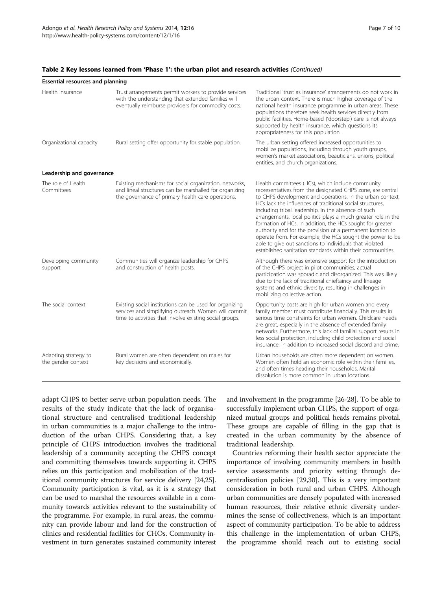| Table 2 Key lessons learned from 'Phase 1': the urban pilot and research activities (Continued) |  |
|-------------------------------------------------------------------------------------------------|--|
|-------------------------------------------------------------------------------------------------|--|

| <b>Essential resources and planning</b>    |                                                                                                                                                                            |                                                                                                                                                                                                                                                                                                                                                                                                                                                                                                                                                                                                                                                                                   |  |  |
|--------------------------------------------|----------------------------------------------------------------------------------------------------------------------------------------------------------------------------|-----------------------------------------------------------------------------------------------------------------------------------------------------------------------------------------------------------------------------------------------------------------------------------------------------------------------------------------------------------------------------------------------------------------------------------------------------------------------------------------------------------------------------------------------------------------------------------------------------------------------------------------------------------------------------------|--|--|
| Health insurance                           | Trust arrangements permit workers to provide services<br>with the understanding that extended families will<br>eventually reimburse providers for commodity costs.         | Traditional 'trust as insurance' arrangements do not work in<br>the urban context. There is much higher coverage of the<br>national health insurance programme in urban areas. These<br>populations therefore seek health services directly from<br>public facilities. Home-based ('doorstep') care is not always<br>supported by health insurance, which questions its<br>appropriateness for this population.                                                                                                                                                                                                                                                                   |  |  |
| Organizational capacity                    | Rural setting offer opportunity for stable population.                                                                                                                     | The urban setting offered increased opportunities to<br>mobilize populations, including through youth groups,<br>women's market associations, beauticians, unions, political<br>entities, and church organizations.                                                                                                                                                                                                                                                                                                                                                                                                                                                               |  |  |
| Leadership and governance                  |                                                                                                                                                                            |                                                                                                                                                                                                                                                                                                                                                                                                                                                                                                                                                                                                                                                                                   |  |  |
| The role of Health<br>Committees           | Existing mechanisms for social organization, networks,<br>and lineal structures can be marshalled for organizing<br>the governance of primary health care operations.      | Health committees (HCs), which include community<br>representatives from the designated CHPS zone, are central<br>to CHPS development and operations. In the urban context,<br>HCs lack the influences of traditional social structures,<br>including tribal leadership. In the absence of such<br>arrangements, local politics plays a much greater role in the<br>formation of HCs. In addition, the HCs sought for greater<br>authority and for the provision of a permanent location to<br>operate from. For example, the HCs sought the power to be<br>able to give out sanctions to individuals that violated<br>established sanitation standards within their communities. |  |  |
| Developing community<br>support            | Communities will organize leadership for CHPS<br>and construction of health posts.                                                                                         | Although there was extensive support for the introduction<br>of the CHPS project in pilot communities, actual<br>participation was sporadic and disorganized. This was likely<br>due to the lack of traditional chieftaincy and lineage<br>systems and ethnic diversity, resulting in challenges in<br>mobilizing collective action.                                                                                                                                                                                                                                                                                                                                              |  |  |
| The social context                         | Existing social institutions can be used for organizing<br>services and simplifying outreach. Women will commit<br>time to activities that involve existing social groups. | Opportunity costs are high for urban women and every<br>family member must contribute financially. This results in<br>serious time constraints for urban women. Childcare needs<br>are great, especially in the absence of extended family<br>networks. Furthermore, this lack of familial support results in<br>less social protection, including child protection and social<br>insurance, in addition to increased social discord and crime.                                                                                                                                                                                                                                   |  |  |
| Adapting strategy to<br>the gender context | Rural women are often dependent on males for<br>key decisions and economically.                                                                                            | Urban households are often more dependent on women.<br>Women often hold an economic role within their families.<br>and often times heading their households. Marital<br>dissolution is more common in urban locations.                                                                                                                                                                                                                                                                                                                                                                                                                                                            |  |  |

adapt CHPS to better serve urban population needs. The results of the study indicate that the lack of organisational structure and centralised traditional leadership in urban communities is a major challenge to the introduction of the urban CHPS. Considering that, a key principle of CHPS introduction involves the traditional leadership of a community accepting the CHPS concept and committing themselves towards supporting it. CHPS relies on this participation and mobilization of the traditional community structures for service delivery [\[24,25](#page-9-0)]. Community participation is vital, as it is a strategy that can be used to marshal the resources available in a community towards activities relevant to the sustainability of the programme. For example, in rural areas, the community can provide labour and land for the construction of clinics and residential facilities for CHOs. Community investment in turn generates sustained community interest and involvement in the programme [[26](#page-9-0)-[28\]](#page-9-0). To be able to successfully implement urban CHPS, the support of organized mutual groups and political heads remains pivotal. These groups are capable of filling in the gap that is created in the urban community by the absence of traditional leadership.

Countries reforming their health sector appreciate the importance of involving community members in health service assessments and priority setting through decentralisation policies [\[29,30](#page-9-0)]. This is a very important consideration in both rural and urban CHPS. Although urban communities are densely populated with increased human resources, their relative ethnic diversity undermines the sense of collectiveness, which is an important aspect of community participation. To be able to address this challenge in the implementation of urban CHPS, the programme should reach out to existing social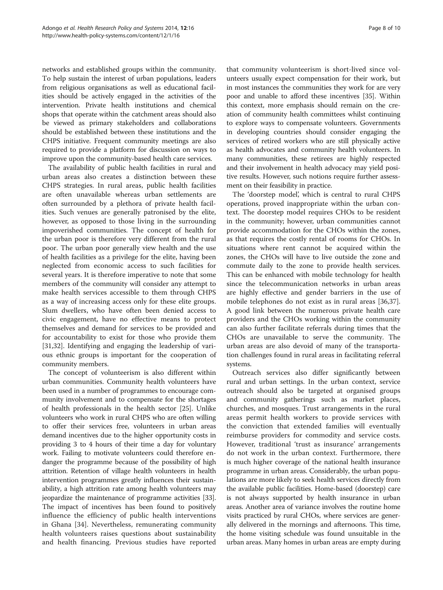networks and established groups within the community. To help sustain the interest of urban populations, leaders from religious organisations as well as educational facilities should be actively engaged in the activities of the intervention. Private health institutions and chemical shops that operate within the catchment areas should also be viewed as primary stakeholders and collaborations should be established between these institutions and the CHPS initiative. Frequent community meetings are also required to provide a platform for discussion on ways to improve upon the community-based health care services.

The availability of public health facilities in rural and urban areas also creates a distinction between these CHPS strategies. In rural areas, public health facilities are often unavailable whereas urban settlements are often surrounded by a plethora of private health facilities. Such venues are generally patronised by the elite, however, as opposed to those living in the surrounding impoverished communities. The concept of health for the urban poor is therefore very different from the rural poor. The urban poor generally view health and the use of health facilities as a privilege for the elite, having been neglected from economic access to such facilities for several years. It is therefore imperative to note that some members of the community will consider any attempt to make health services accessible to them through CHPS as a way of increasing access only for these elite groups. Slum dwellers, who have often been denied access to civic engagement, have no effective means to protect themselves and demand for services to be provided and for accountability to exist for those who provide them [[31,32\]](#page-9-0). Identifying and engaging the leadership of various ethnic groups is important for the cooperation of community members.

The concept of volunteerism is also different within urban communities. Community health volunteers have been used in a number of programmes to encourage community involvement and to compensate for the shortages of health professionals in the health sector [[25](#page-9-0)]. Unlike volunteers who work in rural CHPS who are often willing to offer their services free, volunteers in urban areas demand incentives due to the higher opportunity costs in providing 3 to 4 hours of their time a day for voluntary work. Failing to motivate volunteers could therefore endanger the programme because of the possibility of high attrition. Retention of village health volunteers in health intervention programmes greatly influences their sustainability, a high attrition rate among health volunteers may jeopardize the maintenance of programme activities [[33](#page-9-0)]. The impact of incentives has been found to positively influence the efficiency of public health interventions in Ghana [[34](#page-9-0)]. Nevertheless, remunerating community health volunteers raises questions about sustainability and health financing. Previous studies have reported

that community volunteerism is short-lived since volunteers usually expect compensation for their work, but in most instances the communities they work for are very poor and unable to afford these incentives [[35\]](#page-9-0). Within this context, more emphasis should remain on the creation of community health committees whilst continuing to explore ways to compensate volunteers. Governments in developing countries should consider engaging the services of retired workers who are still physically active as health advocates and community health volunteers. In many communities, these retirees are highly respected and their involvement in health advocacy may yield positive results. However, such notions require further assessment on their feasibility in practice.

The 'doorstep model', which is central to rural CHPS operations, proved inappropriate within the urban context. The doorstep model requires CHOs to be resident in the community; however, urban communities cannot provide accommodation for the CHOs within the zones, as that requires the costly rental of rooms for CHOs. In situations where rent cannot be acquired within the zones, the CHOs will have to live outside the zone and commute daily to the zone to provide health services. This can be enhanced with mobile technology for health since the telecommunication networks in urban areas are highly effective and gender barriers in the use of mobile telephones do not exist as in rural areas [\[36,37](#page-9-0)]. A good link between the numerous private health care providers and the CHOs working within the community can also further facilitate referrals during times that the CHOs are unavailable to serve the community. The urban areas are also devoid of many of the transportation challenges found in rural areas in facilitating referral systems.

Outreach services also differ significantly between rural and urban settings. In the urban context, service outreach should also be targeted at organised groups and community gatherings such as market places, churches, and mosques. Trust arrangements in the rural areas permit health workers to provide services with the conviction that extended families will eventually reimburse providers for commodity and service costs. However, traditional 'trust as insurance' arrangements do not work in the urban context. Furthermore, there is much higher coverage of the national health insurance programme in urban areas. Considerably, the urban populations are more likely to seek health services directly from the available public facilities. Home-based (doorstep) care is not always supported by health insurance in urban areas. Another area of variance involves the routine home visits practiced by rural CHOs, where services are generally delivered in the mornings and afternoons. This time, the home visiting schedule was found unsuitable in the urban areas. Many homes in urban areas are empty during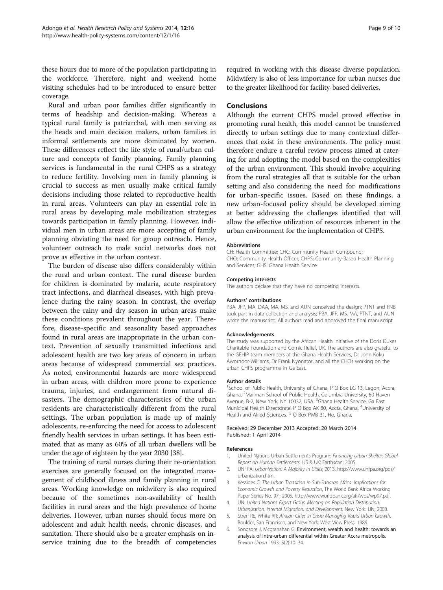<span id="page-8-0"></span>these hours due to more of the population participating in the workforce. Therefore, night and weekend home visiting schedules had to be introduced to ensure better coverage.

Rural and urban poor families differ significantly in terms of headship and decision-making. Whereas a typical rural family is patriarchal, with men serving as the heads and main decision makers, urban families in informal settlements are more dominated by women. These differences reflect the life style of rural/urban culture and concepts of family planning. Family planning services is fundamental in the rural CHPS as a strategy to reduce fertility. Involving men in family planning is crucial to success as men usually make critical family decisions including those related to reproductive health in rural areas. Volunteers can play an essential role in rural areas by developing male mobilization strategies towards participation in family planning. However, individual men in urban areas are more accepting of family planning obviating the need for group outreach. Hence, volunteer outreach to male social networks does not prove as effective in the urban context.

The burden of disease also differs considerably within the rural and urban context. The rural disease burden for children is dominated by malaria, acute respiratory tract infections, and diarrheal diseases, with high prevalence during the rainy season. In contrast, the overlap between the rainy and dry season in urban areas make these conditions prevalent throughout the year. Therefore, disease-specific and seasonality based approaches found in rural areas are inappropriate in the urban context. Prevention of sexually transmitted infections and adolescent health are two key areas of concern in urban areas because of widespread commercial sex practices. As noted, environmental hazards are more widespread in urban areas, with children more prone to experience trauma, injuries, and endangerment from natural disasters. The demographic characteristics of the urban residents are characteristically different from the rural settings. The urban population is made up of mainly adolescents, re-enforcing the need for access to adolescent friendly health services in urban settings. It has been estimated that as many as 60% of all urban dwellers will be under the age of eighteen by the year 2030 [\[38\]](#page-9-0).

The training of rural nurses during their re-orientation exercises are generally focused on the integrated management of childhood illness and family planning in rural areas. Working knowledge on midwifery is also required because of the sometimes non-availability of health facilities in rural areas and the high prevalence of home deliveries. However, urban nurses should focus more on adolescent and adult health needs, chronic diseases, and sanitation. There should also be a greater emphasis on inservice training due to the breadth of competencies required in working with this disease diverse population. Midwifery is also of less importance for urban nurses due to the greater likelihood for facility-based deliveries.

#### **Conclusions**

Although the current CHPS model proved effective in promoting rural health, this model cannot be transferred directly to urban settings due to many contextual differences that exist in these environments. The policy must therefore endure a careful review process aimed at catering for and adopting the model based on the complexities of the urban environment. This should involve acquiring from the rural strategies all that is suitable for the urban setting and also considering the need for modifications for urban-specific issues. Based on these findings, a new urban-focused policy should be developed aiming at better addressing the challenges identified that will allow the effective utilization of resources inherent in the urban environment for the implementation of CHPS.

#### Abbreviations

CH: Health Committee; CHC: Community Health Compound; CHO: Community Health Officer; CHPS: Community-Based Health Planning and Services; GHS: Ghana Health Service.

#### Competing interests

The authors declare that they have no competing interests.

#### Authors' contributions

PBA, JFP, MA, DAA, MA, MS, and AUN conceived the design; PTNT and FNB took part in data collection and analysis; PBA, JFP, MS, MA, PTNT, and AUN wrote the manuscript. All authors read and approved the final manuscript.

#### Acknowledgements

The study was supported by the African Health Initiative of the Doris Dukes Charitable Foundation and Comic Relief, UK. The authors are also grateful to the GEHIP team members at the Ghana Health Services, Dr John Koku Awornoor-Williams, Dr Frank Nyonator, and all the CHOs working on the urban CHPS programme in Ga East.

#### Author details

<sup>1</sup>School of Public Health, University of Ghana, P O Box LG 13, Legon, Accra, Ghana. <sup>2</sup>Mailman School of Public Health, Columbia University, 60 Haven Avenue, B-2, New York, NY 10032, USA. <sup>3</sup>Ghana Health Service, Ga East Municipal Health Directorate, P O Box AK 80, Accra, Ghana. <sup>4</sup>University of Health and Allied Sciences, P O Box PMB 31, Ho, Ghana.

#### Received: 29 December 2013 Accepted: 20 March 2014 Published: 1 April 2014

#### References

- 1. United Nations Urban Settlements Program: Financing Urban Shelter: Global Report on Human Settlements. US & UK: Earthscan; 2005.
- 2. UNFPA: Urbanization: A Majority in Cities; 2013. [http://www.unfpa.org/pds/](http://www.unfpa.org/pds/urbanization.htm) [urbanization.htm.](http://www.unfpa.org/pds/urbanization.htm)
- 3. Kessides C: The Urban Transition in Sub-Saharan Africa: Implications for Economic Growth and Poverty Reduction, The World Bank Africa Working Paper Series No. 97.; 2005.<http://www.worldbank.org/afr/wps/wp97.pdf>.
- 4. UN: United Nations Expert Group Meeting on Population Distribution, Urbanization, Internal Migration, and Development. New York: UN; 2008.
- 5. Stren RE, White RR: African Cities in Crisis: Managing Rapid Urban Growth. Boulder, San Francisco, and New York: West View Press; 1989.
- 6. Songsore J, Mcgranahan G: Environment, wealth and health: towards an analysis of intra-urban differential within Greater Accra metropolis. Environ Urban 1993, 5(2):10–34.